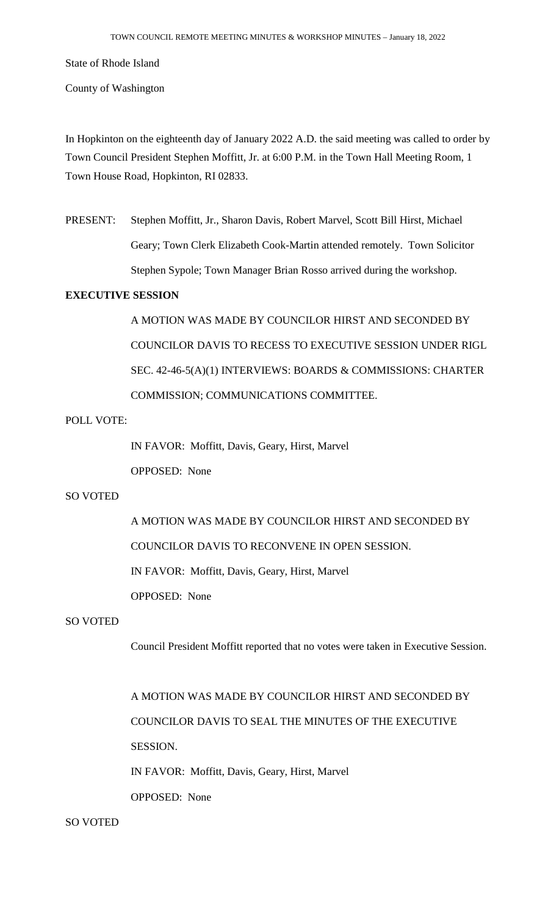State of Rhode Island

County of Washington

In Hopkinton on the eighteenth day of January 2022 A.D. the said meeting was called to order by Town Council President Stephen Moffitt, Jr. at 6:00 P.M. in the Town Hall Meeting Room, 1 Town House Road, Hopkinton, RI 02833.

PRESENT: Stephen Moffitt, Jr., Sharon Davis, Robert Marvel, Scott Bill Hirst, Michael Geary; Town Clerk Elizabeth Cook-Martin attended remotely. Town Solicitor Stephen Sypole; Town Manager Brian Rosso arrived during the workshop.

## **EXECUTIVE SESSION**

A MOTION WAS MADE BY COUNCILOR HIRST AND SECONDED BY COUNCILOR DAVIS TO RECESS TO EXECUTIVE SESSION UNDER RIGL SEC. 42-46-5(A)(1) INTERVIEWS: BOARDS & COMMISSIONS: CHARTER COMMISSION; COMMUNICATIONS COMMITTEE.

## POLL VOTE:

IN FAVOR: Moffitt, Davis, Geary, Hirst, Marvel OPPOSED: None

# SO VOTED

A MOTION WAS MADE BY COUNCILOR HIRST AND SECONDED BY COUNCILOR DAVIS TO RECONVENE IN OPEN SESSION.

IN FAVOR: Moffitt, Davis, Geary, Hirst, Marvel

OPPOSED: None

## SO VOTED

Council President Moffitt reported that no votes were taken in Executive Session.

A MOTION WAS MADE BY COUNCILOR HIRST AND SECONDED BY COUNCILOR DAVIS TO SEAL THE MINUTES OF THE EXECUTIVE SESSION. IN FAVOR: Moffitt, Davis, Geary, Hirst, Marvel OPPOSED: None

# SO VOTED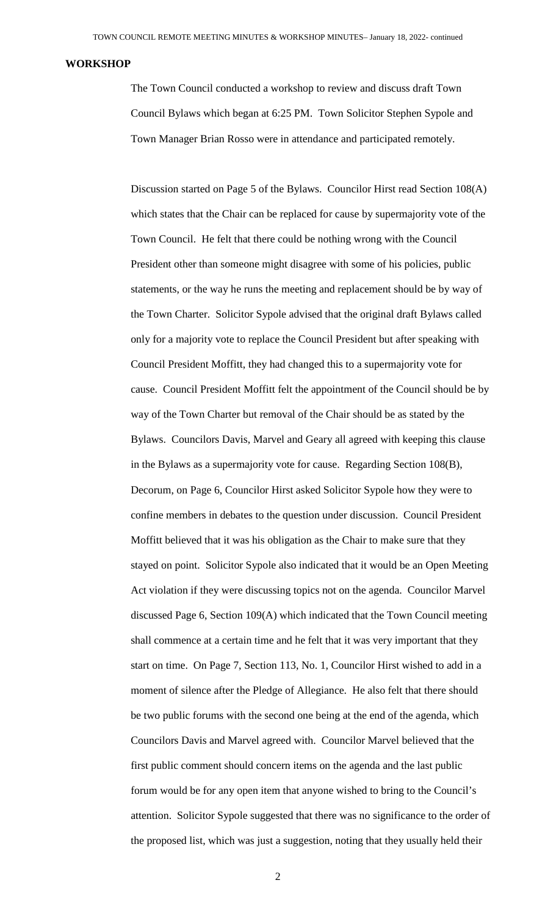#### **WORKSHOP**

The Town Council conducted a workshop to review and discuss draft Town Council Bylaws which began at 6:25 PM. Town Solicitor Stephen Sypole and Town Manager Brian Rosso were in attendance and participated remotely.

Discussion started on Page 5 of the Bylaws. Councilor Hirst read Section 108(A) which states that the Chair can be replaced for cause by supermajority vote of the Town Council. He felt that there could be nothing wrong with the Council President other than someone might disagree with some of his policies, public statements, or the way he runs the meeting and replacement should be by way of the Town Charter. Solicitor Sypole advised that the original draft Bylaws called only for a majority vote to replace the Council President but after speaking with Council President Moffitt, they had changed this to a supermajority vote for cause. Council President Moffitt felt the appointment of the Council should be by way of the Town Charter but removal of the Chair should be as stated by the Bylaws. Councilors Davis, Marvel and Geary all agreed with keeping this clause in the Bylaws as a supermajority vote for cause. Regarding Section 108(B), Decorum, on Page 6, Councilor Hirst asked Solicitor Sypole how they were to confine members in debates to the question under discussion. Council President Moffitt believed that it was his obligation as the Chair to make sure that they stayed on point. Solicitor Sypole also indicated that it would be an Open Meeting Act violation if they were discussing topics not on the agenda. Councilor Marvel discussed Page 6, Section 109(A) which indicated that the Town Council meeting shall commence at a certain time and he felt that it was very important that they start on time. On Page 7, Section 113, No. 1, Councilor Hirst wished to add in a moment of silence after the Pledge of Allegiance. He also felt that there should be two public forums with the second one being at the end of the agenda, which Councilors Davis and Marvel agreed with. Councilor Marvel believed that the first public comment should concern items on the agenda and the last public forum would be for any open item that anyone wished to bring to the Council's attention. Solicitor Sypole suggested that there was no significance to the order of the proposed list, which was just a suggestion, noting that they usually held their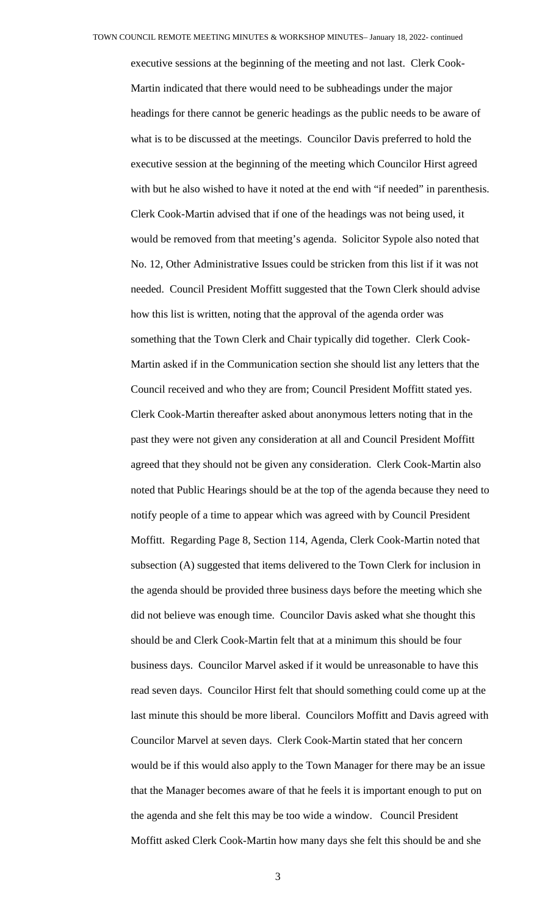executive sessions at the beginning of the meeting and not last. Clerk Cook-Martin indicated that there would need to be subheadings under the major headings for there cannot be generic headings as the public needs to be aware of what is to be discussed at the meetings. Councilor Davis preferred to hold the executive session at the beginning of the meeting which Councilor Hirst agreed with but he also wished to have it noted at the end with "if needed" in parenthesis. Clerk Cook-Martin advised that if one of the headings was not being used, it would be removed from that meeting's agenda. Solicitor Sypole also noted that No. 12, Other Administrative Issues could be stricken from this list if it was not needed. Council President Moffitt suggested that the Town Clerk should advise how this list is written, noting that the approval of the agenda order was something that the Town Clerk and Chair typically did together. Clerk Cook-Martin asked if in the Communication section she should list any letters that the Council received and who they are from; Council President Moffitt stated yes. Clerk Cook-Martin thereafter asked about anonymous letters noting that in the past they were not given any consideration at all and Council President Moffitt agreed that they should not be given any consideration. Clerk Cook-Martin also noted that Public Hearings should be at the top of the agenda because they need to notify people of a time to appear which was agreed with by Council President Moffitt. Regarding Page 8, Section 114, Agenda, Clerk Cook-Martin noted that subsection (A) suggested that items delivered to the Town Clerk for inclusion in the agenda should be provided three business days before the meeting which she did not believe was enough time. Councilor Davis asked what she thought this should be and Clerk Cook-Martin felt that at a minimum this should be four business days. Councilor Marvel asked if it would be unreasonable to have this read seven days. Councilor Hirst felt that should something could come up at the last minute this should be more liberal. Councilors Moffitt and Davis agreed with Councilor Marvel at seven days. Clerk Cook-Martin stated that her concern would be if this would also apply to the Town Manager for there may be an issue that the Manager becomes aware of that he feels it is important enough to put on the agenda and she felt this may be too wide a window. Council President Moffitt asked Clerk Cook-Martin how many days she felt this should be and she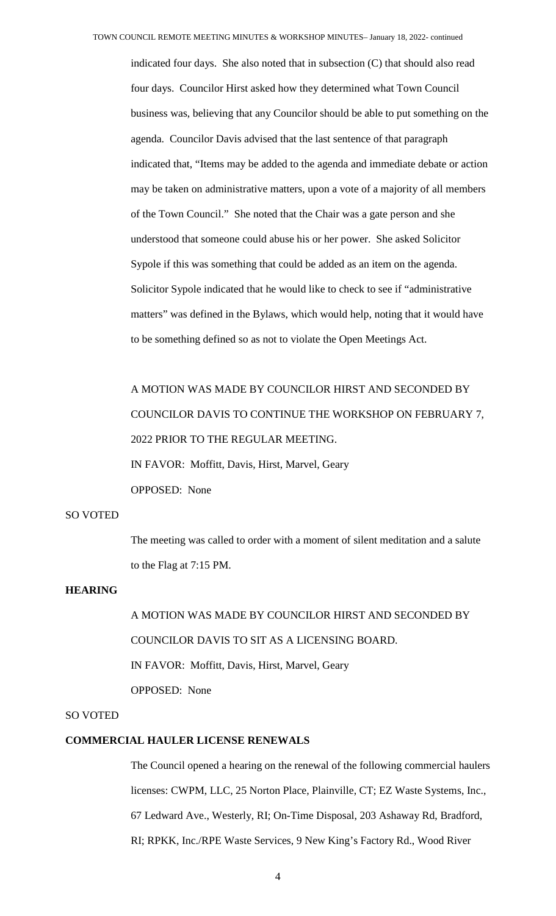indicated four days. She also noted that in subsection (C) that should also read four days. Councilor Hirst asked how they determined what Town Council business was, believing that any Councilor should be able to put something on the agenda. Councilor Davis advised that the last sentence of that paragraph indicated that, "Items may be added to the agenda and immediate debate or action may be taken on administrative matters, upon a vote of a majority of all members of the Town Council." She noted that the Chair was a gate person and she understood that someone could abuse his or her power. She asked Solicitor Sypole if this was something that could be added as an item on the agenda. Solicitor Sypole indicated that he would like to check to see if "administrative matters" was defined in the Bylaws, which would help, noting that it would have to be something defined so as not to violate the Open Meetings Act.

A MOTION WAS MADE BY COUNCILOR HIRST AND SECONDED BY COUNCILOR DAVIS TO CONTINUE THE WORKSHOP ON FEBRUARY 7, 2022 PRIOR TO THE REGULAR MEETING. IN FAVOR: Moffitt, Davis, Hirst, Marvel, Geary OPPOSED: None

#### SO VOTED

The meeting was called to order with a moment of silent meditation and a salute to the Flag at 7:15 PM.

## **HEARING**

A MOTION WAS MADE BY COUNCILOR HIRST AND SECONDED BY COUNCILOR DAVIS TO SIT AS A LICENSING BOARD. IN FAVOR: Moffitt, Davis, Hirst, Marvel, Geary OPPOSED: None

## SO VOTED

## **COMMERCIAL HAULER LICENSE RENEWALS**

The Council opened a hearing on the renewal of the following commercial haulers licenses: CWPM, LLC, 25 Norton Place, Plainville, CT; EZ Waste Systems, Inc., 67 Ledward Ave., Westerly, RI; On-Time Disposal, 203 Ashaway Rd, Bradford, RI; RPKK, Inc./RPE Waste Services, 9 New King's Factory Rd., Wood River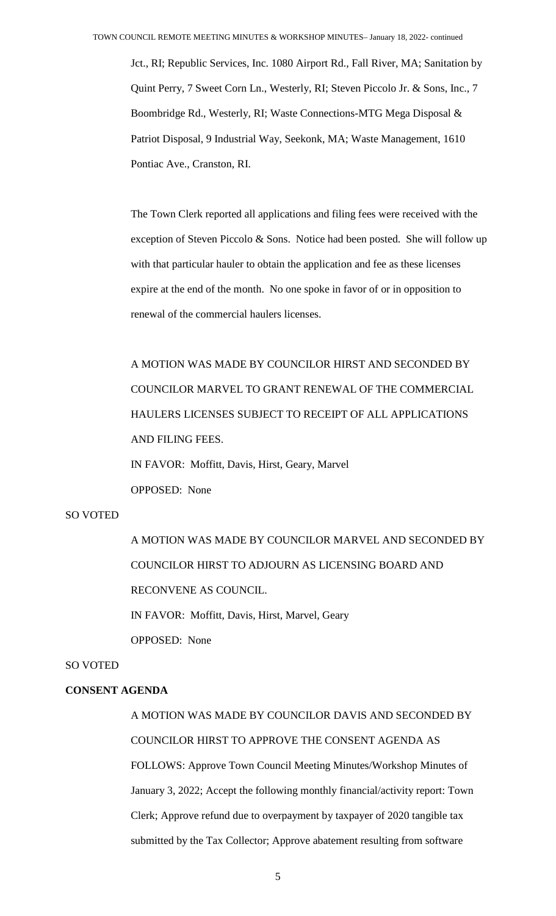Jct., RI; Republic Services, Inc. 1080 Airport Rd., Fall River, MA; Sanitation by Quint Perry, 7 Sweet Corn Ln., Westerly, RI; Steven Piccolo Jr. & Sons, Inc., 7 Boombridge Rd., Westerly, RI; Waste Connections-MTG Mega Disposal & Patriot Disposal, 9 Industrial Way, Seekonk, MA; Waste Management, 1610 Pontiac Ave., Cranston, RI.

The Town Clerk reported all applications and filing fees were received with the exception of Steven Piccolo & Sons. Notice had been posted. She will follow up with that particular hauler to obtain the application and fee as these licenses expire at the end of the month. No one spoke in favor of or in opposition to renewal of the commercial haulers licenses.

A MOTION WAS MADE BY COUNCILOR HIRST AND SECONDED BY COUNCILOR MARVEL TO GRANT RENEWAL OF THE COMMERCIAL HAULERS LICENSES SUBJECT TO RECEIPT OF ALL APPLICATIONS AND FILING FEES. IN FAVOR: Moffitt, Davis, Hirst, Geary, Marvel OPPOSED: None

## SO VOTED

A MOTION WAS MADE BY COUNCILOR MARVEL AND SECONDED BY COUNCILOR HIRST TO ADJOURN AS LICENSING BOARD AND RECONVENE AS COUNCIL. IN FAVOR: Moffitt, Davis, Hirst, Marvel, Geary OPPOSED: None

#### SO VOTED

## **CONSENT AGENDA**

A MOTION WAS MADE BY COUNCILOR DAVIS AND SECONDED BY COUNCILOR HIRST TO APPROVE THE CONSENT AGENDA AS FOLLOWS: Approve Town Council Meeting Minutes/Workshop Minutes of January 3, 2022; Accept the following monthly financial/activity report: Town Clerk; Approve refund due to overpayment by taxpayer of 2020 tangible tax submitted by the Tax Collector; Approve abatement resulting from software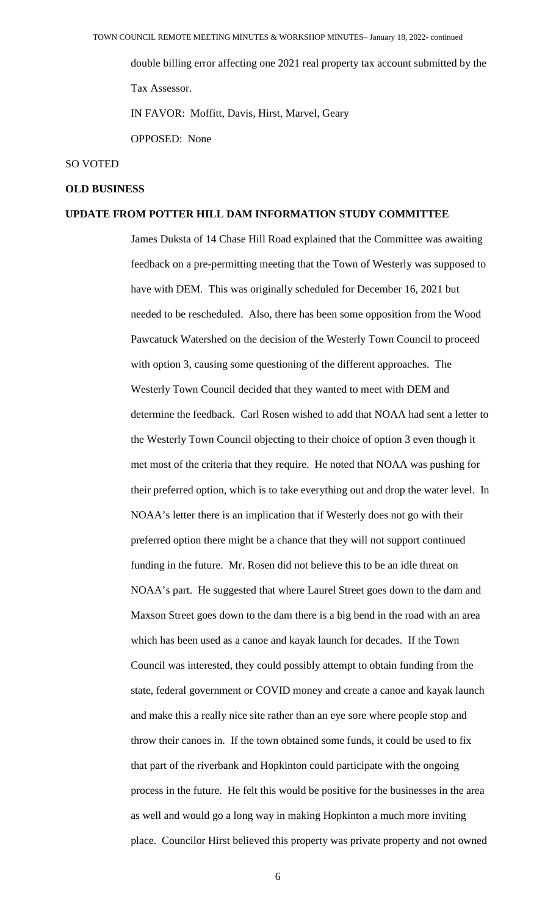double billing error affecting one 2021 real property tax account submitted by the Tax Assessor.

IN FAVOR: Moffitt, Davis, Hirst, Marvel, Geary

OPPOSED: None

#### SO VOTED

#### **OLD BUSINESS**

## **UPDATE FROM POTTER HILL DAM INFORMATION STUDY COMMITTEE**

James Duksta of 14 Chase Hill Road explained that the Committee was awaiting feedback on a pre-permitting meeting that the Town of Westerly was supposed to have with DEM. This was originally scheduled for December 16, 2021 but needed to be rescheduled. Also, there has been some opposition from the Wood Pawcatuck Watershed on the decision of the Westerly Town Council to proceed with option 3, causing some questioning of the different approaches. The Westerly Town Council decided that they wanted to meet with DEM and determine the feedback. Carl Rosen wished to add that NOAA had sent a letter to the Westerly Town Council objecting to their choice of option 3 even though it met most of the criteria that they require. He noted that NOAA was pushing for their preferred option, which is to take everything out and drop the water level. In NOAA's letter there is an implication that if Westerly does not go with their preferred option there might be a chance that they will not support continued funding in the future. Mr. Rosen did not believe this to be an idle threat on NOAA's part. He suggested that where Laurel Street goes down to the dam and Maxson Street goes down to the dam there is a big bend in the road with an area which has been used as a canoe and kayak launch for decades. If the Town Council was interested, they could possibly attempt to obtain funding from the state, federal government or COVID money and create a canoe and kayak launch and make this a really nice site rather than an eye sore where people stop and throw their canoes in. If the town obtained some funds, it could be used to fix that part of the riverbank and Hopkinton could participate with the ongoing process in the future. He felt this would be positive for the businesses in the area as well and would go a long way in making Hopkinton a much more inviting place. Councilor Hirst believed this property was private property and not owned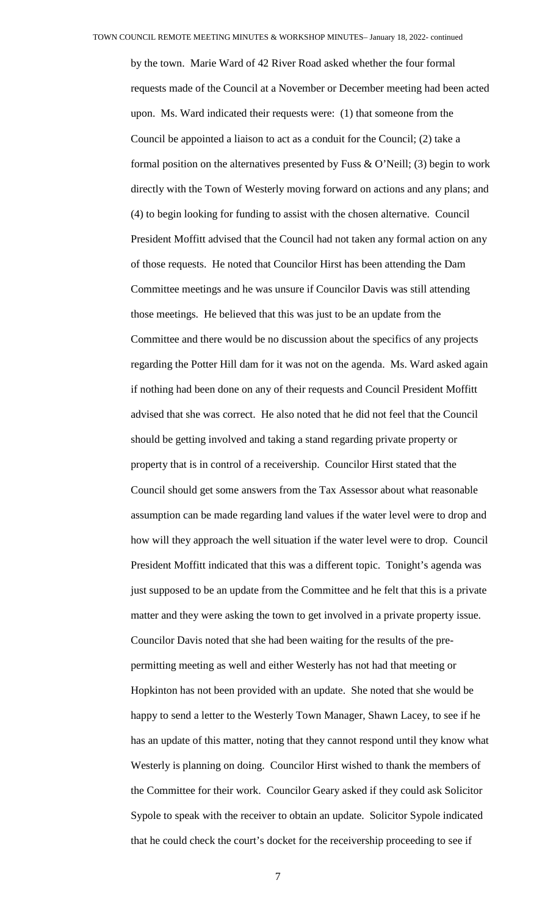by the town. Marie Ward of 42 River Road asked whether the four formal requests made of the Council at a November or December meeting had been acted upon. Ms. Ward indicated their requests were: (1) that someone from the Council be appointed a liaison to act as a conduit for the Council; (2) take a formal position on the alternatives presented by Fuss  $\&$  O'Neill; (3) begin to work directly with the Town of Westerly moving forward on actions and any plans; and (4) to begin looking for funding to assist with the chosen alternative. Council President Moffitt advised that the Council had not taken any formal action on any of those requests. He noted that Councilor Hirst has been attending the Dam Committee meetings and he was unsure if Councilor Davis was still attending those meetings. He believed that this was just to be an update from the Committee and there would be no discussion about the specifics of any projects regarding the Potter Hill dam for it was not on the agenda. Ms. Ward asked again if nothing had been done on any of their requests and Council President Moffitt advised that she was correct. He also noted that he did not feel that the Council should be getting involved and taking a stand regarding private property or property that is in control of a receivership. Councilor Hirst stated that the Council should get some answers from the Tax Assessor about what reasonable assumption can be made regarding land values if the water level were to drop and how will they approach the well situation if the water level were to drop. Council President Moffitt indicated that this was a different topic. Tonight's agenda was just supposed to be an update from the Committee and he felt that this is a private matter and they were asking the town to get involved in a private property issue. Councilor Davis noted that she had been waiting for the results of the prepermitting meeting as well and either Westerly has not had that meeting or Hopkinton has not been provided with an update. She noted that she would be happy to send a letter to the Westerly Town Manager, Shawn Lacey, to see if he has an update of this matter, noting that they cannot respond until they know what Westerly is planning on doing. Councilor Hirst wished to thank the members of the Committee for their work. Councilor Geary asked if they could ask Solicitor Sypole to speak with the receiver to obtain an update. Solicitor Sypole indicated that he could check the court's docket for the receivership proceeding to see if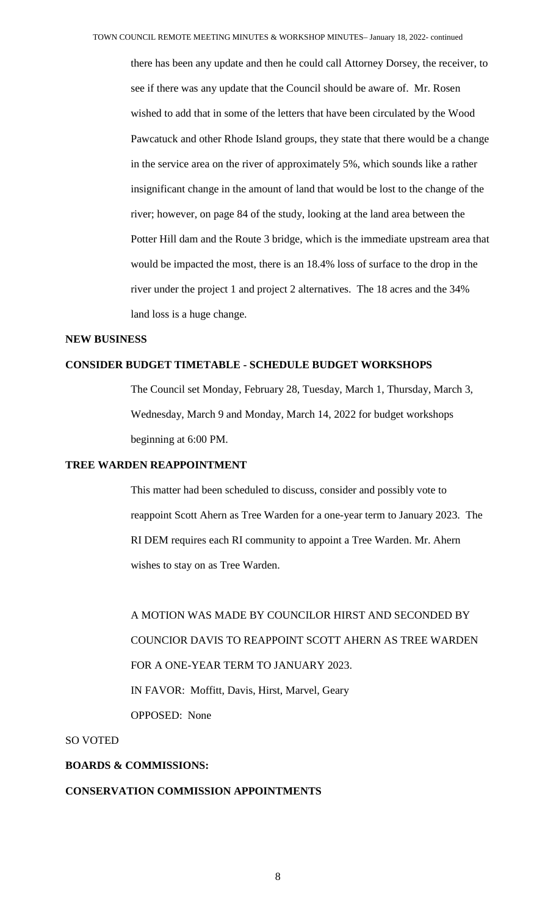there has been any update and then he could call Attorney Dorsey, the receiver, to see if there was any update that the Council should be aware of. Mr. Rosen wished to add that in some of the letters that have been circulated by the Wood Pawcatuck and other Rhode Island groups, they state that there would be a change in the service area on the river of approximately 5%, which sounds like a rather insignificant change in the amount of land that would be lost to the change of the river; however, on page 84 of the study, looking at the land area between the Potter Hill dam and the Route 3 bridge, which is the immediate upstream area that would be impacted the most, there is an 18.4% loss of surface to the drop in the river under the project 1 and project 2 alternatives. The 18 acres and the 34% land loss is a huge change.

#### **NEW BUSINESS**

## **CONSIDER BUDGET TIMETABLE - SCHEDULE BUDGET WORKSHOPS**

The Council set Monday, February 28, Tuesday, March 1, Thursday, March 3, Wednesday, March 9 and Monday, March 14, 2022 for budget workshops beginning at 6:00 PM.

#### **TREE WARDEN REAPPOINTMENT**

This matter had been scheduled to discuss, consider and possibly vote to reappoint Scott Ahern as Tree Warden for a one-year term to January 2023. The RI DEM requires each RI community to appoint a Tree Warden. Mr. Ahern wishes to stay on as Tree Warden.

A MOTION WAS MADE BY COUNCILOR HIRST AND SECONDED BY COUNCIOR DAVIS TO REAPPOINT SCOTT AHERN AS TREE WARDEN FOR A ONE-YEAR TERM TO JANUARY 2023. IN FAVOR: Moffitt, Davis, Hirst, Marvel, Geary OPPOSED: None

#### SO VOTED

#### **BOARDS & COMMISSIONS:**

#### **CONSERVATION COMMISSION APPOINTMENTS**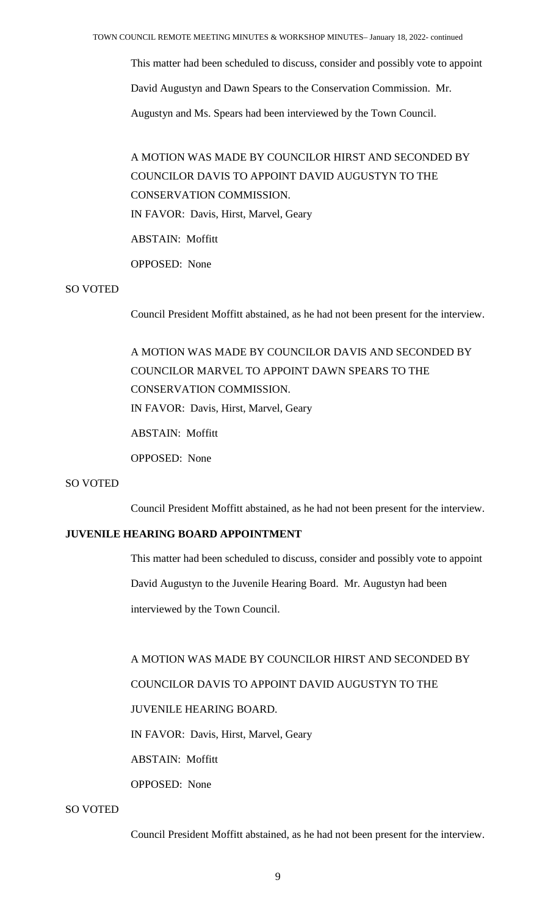This matter had been scheduled to discuss, consider and possibly vote to appoint

David Augustyn and Dawn Spears to the Conservation Commission. Mr.

Augustyn and Ms. Spears had been interviewed by the Town Council.

# A MOTION WAS MADE BY COUNCILOR HIRST AND SECONDED BY COUNCILOR DAVIS TO APPOINT DAVID AUGUSTYN TO THE CONSERVATION COMMISSION. IN FAVOR: Davis, Hirst, Marvel, Geary

ABSTAIN: Moffitt

OPPOSED: None

## SO VOTED

Council President Moffitt abstained, as he had not been present for the interview.

A MOTION WAS MADE BY COUNCILOR DAVIS AND SECONDED BY COUNCILOR MARVEL TO APPOINT DAWN SPEARS TO THE CONSERVATION COMMISSION. IN FAVOR: Davis, Hirst, Marvel, Geary ABSTAIN: Moffitt

OPPOSED: None

## SO VOTED

Council President Moffitt abstained, as he had not been present for the interview.

# **JUVENILE HEARING BOARD APPOINTMENT**

This matter had been scheduled to discuss, consider and possibly vote to appoint David Augustyn to the Juvenile Hearing Board. Mr. Augustyn had been interviewed by the Town Council.

A MOTION WAS MADE BY COUNCILOR HIRST AND SECONDED BY

## COUNCILOR DAVIS TO APPOINT DAVID AUGUSTYN TO THE

# JUVENILE HEARING BOARD.

IN FAVOR: Davis, Hirst, Marvel, Geary

ABSTAIN: Moffitt

OPPOSED: None

#### SO VOTED

Council President Moffitt abstained, as he had not been present for the interview.